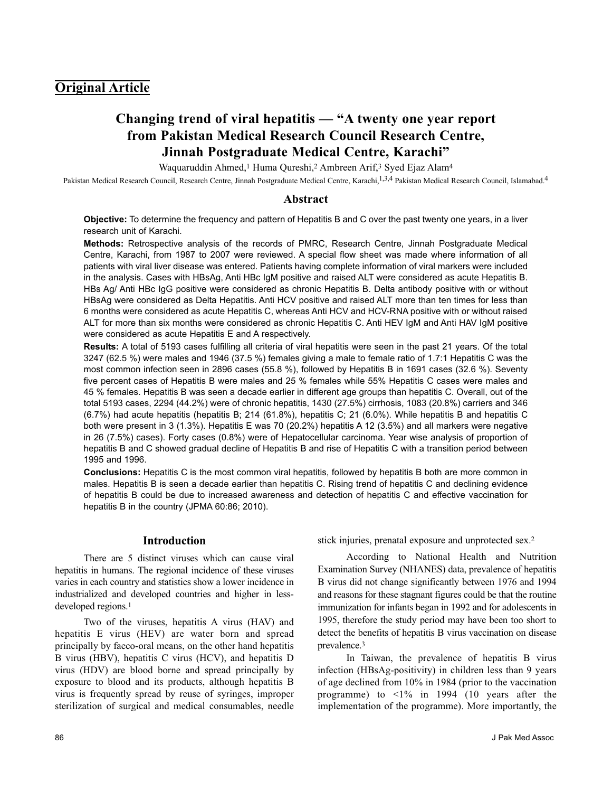## **Original Article**

# **Changing trend of viral hepatitis — "A twenty one year report from Pakistan Medical Research Council Research Centre, Jinnah Postgraduate Medical Centre, Karachi"**

Waquaruddin Ahmed,<sup>1</sup> Huma Qureshi,<sup>2</sup> Ambreen Arif,<sup>3</sup> Syed Ejaz Alam<sup>4</sup>

Pakistan Medical Research Council, Research Centre, Jinnah Postgraduate Medical Centre, Karachi,<sup>1,3,4</sup> Pakistan Medical Research Council, Islamabad.<sup>4</sup>

## **Abstract**

**Objective:** To determine the frequency and pattern of Hepatitis B and C over the past twenty one years, in a liver research unit of Karachi.

**Methods:** Retrospective analysis of the records of PMRC, Research Centre, Jinnah Postgraduate Medical Centre, Karachi, from 1987 to 2007 were reviewed. A special flow sheet was made where information of all patients with viral liver disease was entered. Patients having complete information of viral markers were included in the analysis. Cases with HBsAg, Anti HBc IgM positive and raised ALT were considered as acute Hepatitis B. HBs Ag/ Anti HBc IgG positive were considered as chronic Hepatitis B. Delta antibody positive with or without HBsAg were considered as Delta Hepatitis. Anti HCV positive and raised ALT more than ten times for less than 6 months were considered as acute Hepatitis C, whereas Anti HCV and HCV-RNA positive with or without raised ALT for more than six months were considered as chronic Hepatitis C. Anti HEV IgM and Anti HAV IgM positive were considered as acute Hepatitis E and A respectively.

**Results:** A total of 5193 cases fulfilling all criteria of viral hepatitis were seen in the past 21 years. Of the total 3247 (62.5 %) were males and 1946 (37.5 %) females giving a male to female ratio of 1.7:1 Hepatitis C was the most common infection seen in 2896 cases (55.8 %), followed by Hepatitis B in 1691 cases (32.6 %). Seventy five percent cases of Hepatitis B were males and 25 % females while 55% Hepatitis C cases were males and 45 % females. Hepatitis B was seen a decade earlier in different age groups than hepatitis C. Overall, out of the total 5193 cases, 2294 (44.2%) were of chronic hepatitis, 1430 (27.5%) cirrhosis, 1083 (20.8%) carriers and 346 (6.7%) had acute hepatitis (hepatitis B; 214 (61.8%), hepatitis C; 21 (6.0%). While hepatitis B and hepatitis C both were present in 3 (1.3%). Hepatitis E was 70 (20.2%) hepatitis A 12 (3.5%) and all markers were negative in 26 (7.5%) cases). Forty cases (0.8%) were of Hepatocellular carcinoma. Year wise analysis of proportion of hepatitis B and C showed gradual decline of Hepatitis B and rise of Hepatitis C with a transition period between 1995 and 1996.

**Conclusions:** Hepatitis C is the most common viral hepatitis, followed by hepatitis B both are more common in males. Hepatitis B is seen a decade earlier than hepatitis C. Rising trend of hepatitis C and declining evidence of hepatitis B could be due to increased awareness and detection of hepatitis C and effective vaccination for hepatitis B in the country (JPMA 60:86; 2010).

## **Introduction**

There are 5 distinct viruses which can cause viral hepatitis in humans. The regional incidence of these viruses varies in each country and statistics show a lower incidence in industrialized and developed countries and higher in lessdeveloped regions.<sup>1</sup>

Two of the viruses, hepatitis A virus (HAV) and hepatitis E virus (HEV) are water born and spread principally by faeco-oral means, on the other hand hepatitis B virus (HBV), hepatitis C virus (HCV), and hepatitis D virus (HDV) are blood borne and spread principally by exposure to blood and its products, although hepatitis B virus is frequently spread by reuse of syringes, improper sterilization of surgical and medical consumables, needle stick injuries, prenatal exposure and unprotected sex.<sup>2</sup>

According to National Health and Nutrition Examination Survey (NHANES) data, prevalence of hepatitis B virus did not change significantly between 1976 and 1994 and reasons for these stagnant figures could be that the routine immunization for infants began in 1992 and for adolescents in 1995, therefore the study period may have been too short to detect the benefits of hepatitis B virus vaccination on disease prevalence.<sup>3</sup>

In Taiwan, the prevalence of hepatitis B virus infection (HBsAg-positivity) in children less than 9 years of age declined from 10% in 1984 (prior to the vaccination programme) to  $\langle 1\%$  in 1994 (10 years after the implementation of the programme). More importantly, the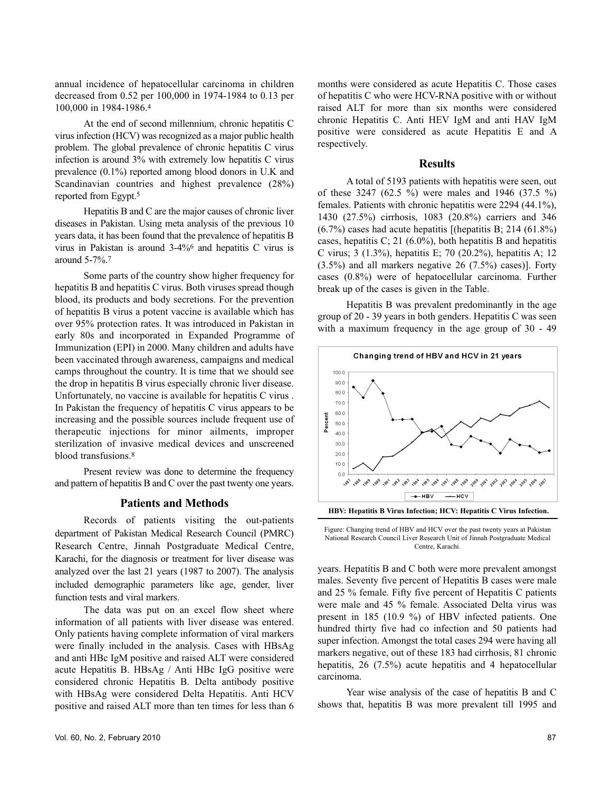annual incidence of hepatocellular carcinoma in children decreased from 0.52 per 100,000 in 1974-1984 to 0.13 per 100,000 in 1984-1986.<sup>4</sup>

At the end of second millennium, chronic hepatitis C virus infection (HCV) was recognized as a major public health problem. The global prevalence of chronic hepatitis C virus infection is around 3% with extremely low hepatitis C virus prevalence (0.1%) reported among blood donors in U.K and Scandinavian countries and highest prevalence (28%) reported from Egypt.<sup>5</sup>

Hepatitis B and C are the major causes of chronic liver diseases in Pakistan. Using meta analysis of the previous 10 years data, it has been found that the prevalence of hepatitis B virus in Pakistan is around 3-4%<sup>6</sup> and hepatitis C virus is around 5-7%.<sup>7</sup>

Some parts of the country show higher frequency for hepatitis B and hepatitis C virus. Both viruses spread though blood, its products and body secretions. For the prevention of hepatitis B virus a potent vaccine is available which has over 95% protection rates. It was introduced in Pakistan in early 80s and incorporated in Expanded Programme of Immunization (EPI) in 2000. Many children and adults have been vaccinated through awareness, campaigns and medical camps throughout the country. It is time that we should see the drop in hepatitis B virus especially chronic liver disease. Unfortunately, no vaccine is available for hepatitis C virus . In Pakistan the frequency of hepatitis C virus appears to be increasing and the possible sources include frequent use of therapeutic injections for minor ailments, improper sterilization of invasive medical devices and unscreened blood transfusions.<sup>8</sup>

Present review was done to determine the frequency and pattern of hepatitis B and C over the past twenty one years.

#### **Patients and Methods**

Records of patients visiting the out-patients department of Pakistan Medical Research Council (PMRC) Research Centre, Jinnah Postgraduate Medical Centre, Karachi, for the diagnosis or treatment for liver disease was analyzed over the last 21 years (1987 to 2007). The analysis included demographic parameters like age, gender, liver function tests and viral markers.

The data was put on an excel flow sheet where information of all patients with liver disease was entered. Only patients having complete information of viral markers were finally included in the analysis. Cases with HBsAg and anti HBc IgM positive and raised ALT were considered acute Hepatitis B. HBsAg / Anti HBc IgG positive were considered chronic Hepatitis B. Delta antibody positive with HBsAg were considered Delta Hepatitis. Anti HCV positive and raised ALT more than ten times for less than 6 months were considered as acute Hepatitis C. Those cases of hepatitis C who were HCV-RNA positive with or without raised ALT for more than six months were considered chronic Hepatitis C. Anti HEV IgM and anti HAV IgM positive were considered as acute Hepatitis E and A respectively.

## **Results**

A total of 5193 patients with hepatitis were seen, out of these 3247 (62.5 %) were males and 1946 (37.5 %) females. Patients with chronic hepatitis were 2294 (44.1%), 1430 (27.5%) cirrhosis, 1083 (20.8%) carriers and 346  $(6.7\%)$  cases had acute hepatitis [(hepatitis B; 214  $(61.8\%)$ ) cases, hepatitis C; 21 (6.0%), both hepatitis B and hepatitis C virus; 3 (1.3%), hepatitis E; 70 (20.2%), hepatitis A; 12 (3.5%) and all markers negative 26 (7.5%) cases)]. Forty cases (0.8%) were of hepatocellular carcinoma. Further break up of the cases is given in the Table.

Hepatitis B was prevalent predominantly in the age group of 20 - 39 years in both genders. Hepatitis C was seen with a maximum frequency in the age group of 30 - 49



**HBV: Hepatitis B Virus Infection; HCV: Hepatitis C Virus Infection.**

Figure: Changing trend of HBV and HCV over the past twenty years at Pakistan National Research Council Liver Research Unit of Jinnah Postgraduate Medical Centre, Karachi.

years. Hepatitis B and C both were more prevalent amongst males. Seventy five percent of Hepatitis B cases were male and 25 % female. Fifty five percent of Hepatitis C patients were male and 45 % female. Associated Delta virus was present in 185 (10.9 %) of HBV infected patients. One hundred thirty five had co infection and 50 patients had super infection. Amongst the total cases 294 were having all markers negative, out of these 183 had cirrhosis, 81 chronic hepatitis, 26 (7.5%) acute hepatitis and 4 hepatocellular carcinoma.

Year wise analysis of the case of hepatitis B and C shows that, hepatitis B was more prevalent till 1995 and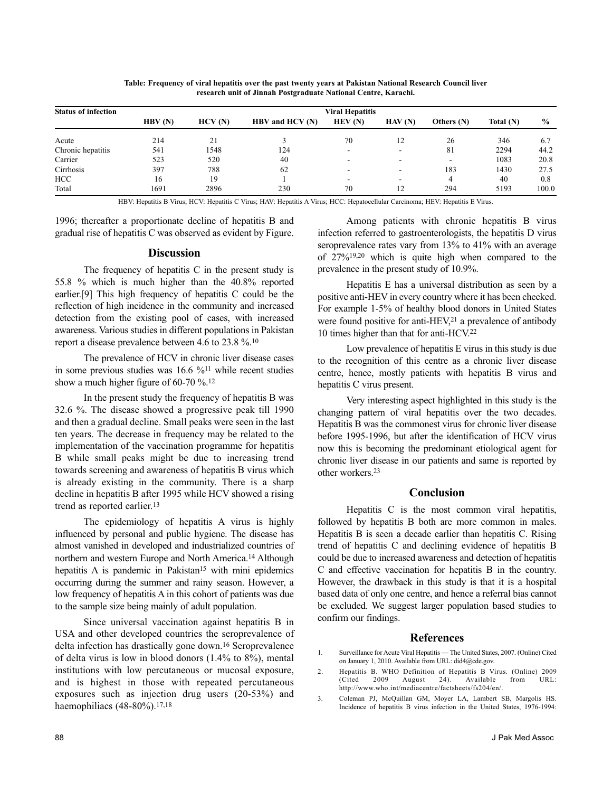| <b>Status of infection</b> | <b>Viral Hepatitis</b> |        |                 |                          |                          |            |             |               |
|----------------------------|------------------------|--------|-----------------|--------------------------|--------------------------|------------|-------------|---------------|
|                            | HBV(N)                 | HCV(N) | HBV and HCV (N) | HEV(N)                   | HAV(N)                   | Others (N) | Total $(N)$ | $\frac{0}{0}$ |
| Acute                      | 214                    | 21     |                 | 70                       | 12                       | 26         | 346         | 6.7           |
| Chronic hepatitis          | 541                    | 1548   | 124             | $\overline{\phantom{0}}$ | $\overline{\phantom{a}}$ | 81         | 2294        | 44.2          |
| Carrier                    | 523                    | 520    | 40              | $\overline{\phantom{0}}$ | $\overline{\phantom{a}}$ | -          | 1083        | 20.8          |
| Cirrhosis                  | 397                    | 788    | 62              | -                        | $\overline{\phantom{0}}$ | 183        | 1430        | 27.5          |
| HCC                        | 16                     | 19     |                 | $\overline{\phantom{0}}$ | $\overline{\phantom{0}}$ | 4          | 40          | 0.8           |
| Total                      | 1691                   | 2896   | 230             | 70                       | 12                       | 294        | 5193        | 100.0         |

**Table: Frequency of viral hepatitis over the past twenty years at Pakistan National Research Council liver research unit of Jinnah Postgraduate National Centre, Karachi.**

HBV: Hepatitis B Virus; HCV: Hepatitis C Virus; HAV: Hepatitis A Virus; HCC: Hepatocellular Carcinoma; HEV: Hepatitis E Virus.

1996; thereafter a proportionate decline of hepatitis B and gradual rise of hepatitis C was observed as evident by Figure.

## **Discussion**

The frequency of hepatitis C in the present study is 55.8 % which is much higher than the 40.8% reported earlier.[9] This high frequency of hepatitis C could be the reflection of high incidence in the community and increased detection from the existing pool of cases, with increased awareness. Various studies in different populations in Pakistan report a disease prevalence between 4.6 to 23.8 %.<sup>10</sup>

The prevalence of HCV in chronic liver disease cases in some previous studies was  $16.6 \%$ <sup>11</sup> while recent studies show a much higher figure of 60-70 %.<sup>12</sup>

In the present study the frequency of hepatitis B was 32.6 %. The disease showed a progressive peak till 1990 and then a gradual decline. Small peaks were seen in the last ten years. The decrease in frequency may be related to the implementation of the vaccination programme for hepatitis B while small peaks might be due to increasing trend towards screening and awareness of hepatitis B virus which is already existing in the community. There is a sharp decline in hepatitis B after 1995 while HCV showed a rising trend as reported earlier.<sup>13</sup>

The epidemiology of hepatitis A virus is highly influenced by personal and public hygiene. The disease has almost vanished in developed and industrialized countries of northern and western Europe and North America.<sup>14</sup> Although hepatitis A is pandemic in Pakistan<sup>15</sup> with mini epidemics occurring during the summer and rainy season. However, a low frequency of hepatitis A in this cohort of patients was due to the sample size being mainly of adult population.

Since universal vaccination against hepatitis B in USA and other developed countries the seroprevalence of delta infection has drastically gone down.<sup>16</sup> Seroprevalence of delta virus is low in blood donors (1.4% to 8%), mental institutions with low percutaneous or mucosal exposure, and is highest in those with repeated percutaneous exposures such as injection drug users (20-53%) and haemophiliacs (48-80%).<sup>17,18</sup>

Among patients with chronic hepatitis B virus infection referred to gastroenterologists, the hepatitis D virus seroprevalence rates vary from 13% to 41% with an average of 27%19,20 which is quite high when compared to the prevalence in the present study of 10.9%.

Hepatitis E has a universal distribution as seen by a positive anti-HEV in every country where it has been checked. For example 1-5% of healthy blood donors in United States were found positive for anti-HEV,<sup>21</sup> a prevalence of antibody 10 times higher than that for anti-HCV.<sup>22</sup>

Low prevalence of hepatitis E virus in this study is due to the recognition of this centre as a chronic liver disease centre, hence, mostly patients with hepatitis B virus and hepatitis C virus present.

Very interesting aspect highlighted in this study is the changing pattern of viral hepatitis over the two decades. Hepatitis B was the commonest virus for chronic liver disease before 1995-1996, but after the identification of HCV virus now this is becoming the predominant etiological agent for chronic liver disease in our patients and same is reported by other workers.<sup>23</sup>

## **Conclusion**

Hepatitis C is the most common viral hepatitis, followed by hepatitis B both are more common in males. Hepatitis B is seen a decade earlier than hepatitis C. Rising trend of hepatitis C and declining evidence of hepatitis B could be due to increased awareness and detection of hepatitis C and effective vaccination for hepatitis B in the country. However, the drawback in this study is that it is a hospital based data of only one centre, and hence a referral bias cannot be excluded. We suggest larger population based studies to confirm our findings.

#### **References**

- 1. Surveillance for Acute Viral Hepatitis The United States, 2007. (Online) Cited on January 1, 2010. Available from URL: did4@cde.gov.
- 2. Hepatitis B. WHO Definition of Hepatitis B Virus. (Online) 2009 (Cited 2009 August 24). Available from URL: http://www.who.int/mediacentre/factsheets/fs204/en/.
- 3. Coleman PJ, McQuillan GM, Moyer LA, Lambert SB, Margolis HS. Incidence of hepatitis B virus infection in the United States, 1976-1994: